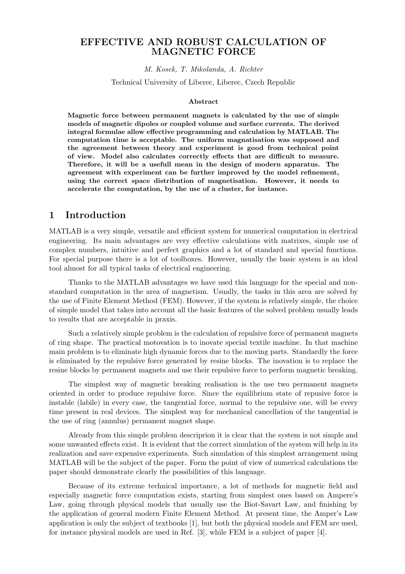## EFFECTIVE AND ROBUST CALCULATION OF MAGNETIC FORCE

M. Kosek, T. Mikolanda, A. Richter

Technical University of Liberec, Liberec, Czech Republic

#### Abstract

Magnetic force between permanent magnets is calculated by the use of simple models of magnetic dipoles or coupled volume and surface currents. The derived integral formulae allow effective programming and calculation by MATLAB. The computation time is acceptable. The uniform magnatisation was supposed and the agreement between theory and experiment is good from technical point of view. Model also calculates correctly effects that are difficult to measure. Therefore, it will be a usefull mean in the design of modern apparatus. The agreement with experiment can be further improved by the model refinement, using the correct space distribution of magnetisation. However, it needs to accelerate the computation, by the use of a cluster, for instance.

## 1 Introduction

MATLAB is a very simple, versatile and efficient system for numerical computation in electrical engineering. Its main advantages are very effective calculations with matrixes, simple use of complex numbers, intuitive and perfect graphics and a lot of standard and special functions. For special purpose there is a lot of toolboxes. However, usually the basic system is an ideal tool almost for all typical tasks of electrical engineering.

Thanks to the MATLAB advantages we have used this language for the special and nonstandard computation in the area of magnetism. Usually, the tasks in this area are solved by the use of Finite Element Method (FEM). However, if the system is relatively simple, the choice of simple model that takes into account all the basic features of the solved problem usually leads to results that are acceptable in praxis.

Such a relatively simple problem is the calculation of repulsive force of permanent magnets of ring shape. The practical motovation is to inovate special textile machine. In that machine main problem is to eliminate high dynamic forces due to the moving parts. Standardly the force is eliminated by the repulsive force generated by resine blocks. The inovation is to replace the resine blocks by permanent magnets and use their repulsive force to perform magnetic breaking.

The simplest way of magnetic breaking realisation is the use two permanent magnets oriented in order to produce repulsive force. Since the equilibrium state of repusive force is instable (labile) in every case, the tangential force, normal to the repulsive one, will be every time present in real devices. The simplest way for mechanical cancellation of the tangential is the use of ring (annulus) permanent magnet shape.

Already from this simple problem descriprion it is clear that the system is not simple and some unwanted effects exist. It is evident that the correct simulation of the system will help in its realization and save expensive experiments. Such simulation of this simplest arrangement using MATLAB will be the subject of the paper. Form the point of view of numerical calculations the paper should demonstrate clearly the possibilities of this language.

Because of its extreme technical importance, a lot of methods for magnetic field and especially magnetic force computation exists, starting from simplest ones based on Ampere's Law, going through physical models that usually use the Biot-Savart Law, and finishing by the application of general modern Finite Element Method. At present time, the Amper's Law application is only the subject of textbooks [1], but both the physical models and FEM are used, for instance physical models are used in Ref. [3], while FEM is a subject of paper [4].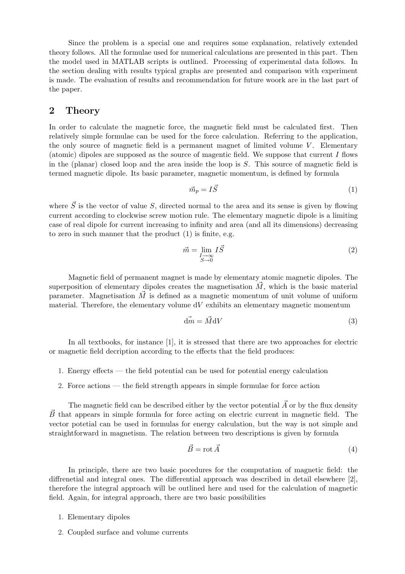Since the problem is a special one and requires some explanation, relatively extended theory follows. All the formulae used for numerical calculations are presented in this part. Then the model used in MATLAB scripts is outlined. Processing of experimental data follows. In the section dealing with results typical graphs are presented and comparison with experiment is made. The evaluation of results and recommendation for future woork are in the last part of the paper.

## 2 Theory

In order to calculate the magnetic force, the magnetic field must be calculated first. Then relatively simple formulae can be used for the force calculation. Referring to the application, the only source of magnetic field is a permanent magnet of limited volume  $V$ . Elementary (atomic) dipoles are supposed as the source of magentic field. We suppose that current  $I$  flows in the (planar) closed loop and the area inside the loop is S. This source of magnetic field is termed magnetic dipole. Its basic parameter, magnetic momentum, is defined by formula

$$
\vec{m}_p = I\vec{S} \tag{1}
$$

where  $\vec{S}$  is the vector of value S, directed normal to the area and its sense is given by flowing current according to clockwise screw motion rule. The elementary magnetic dipole is a limiting case of real dipole for current increasing to infinity and area (and all its dimensions) decreasing to zero in such manner that the product (1) is finite, e.g.

$$
\vec{m} = \lim_{\substack{I \to \infty \\ S \to 0}} I\vec{S} \tag{2}
$$

Magnetic field of permanent magnet is made by elementary atomic magnetic dipoles. The superposition of elementary dipoles creates the magnetisation  $\vec{M}$ , which is the basic material parameter. Magnetisation  $\vec{M}$  is defined as a magnetic momentum of unit volume of uniform material. Therefore, the elementary volume  $dV$  exhibits an elementary magnetic momentum

$$
\vec{dm} = \vec{M}dV\tag{3}
$$

In all textbooks, for instance [1], it is stressed that there are two approaches for electric or magnetic field decription according to the effects that the field produces:

- 1. Energy effects the field potential can be used for potential energy calculation
- 2. Force actions the field strength appears in simple formulae for force action

The magnetic field can be described either by the vector potential  $\vec{A}$  or by the flux density  $\vec{B}$  that appears in simple formula for force acting on electric current in magnetic field. The vector potetial can be used in formulas for energy calculation, but the way is not simple and straightforward in magnetism. The relation between two descriptions is given by formula

$$
\vec{B} = \text{rot}\,\vec{A} \tag{4}
$$

In principle, there are two basic pocedures for the computation of magnetic field: the diffrenetial and integral ones. The differential approach was described in detail elsewhere [2], therefore the integral approach will be outlined here and used for the calculation of magnetic field. Again, for integral approach, there are two basic possibilities

1. Elementary dipoles

2. Coupled surface and volume currents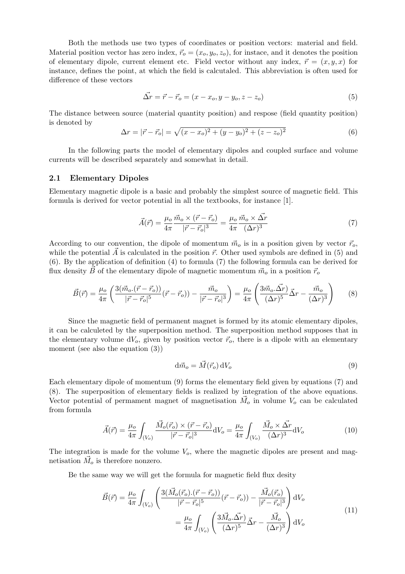Both the methods use two types of coordinates or position vectors: material and field. Material position vector has zero index,  $\vec{r}_o = (x_o, y_o, z_o)$ , for instace, and it denotes the position of elementary dipole, current element etc. Field vector without any index,  $\vec{r} = (x, y, x)$  for instance, defines the point, at which the field is calcutaled. This abbreviation is often used for difference of these vectors

$$
\vec{\Delta r} = \vec{r} - \vec{r}_o = (x - x_o, y - y_o, z - z_o)
$$
\n(5)

The distance between source (material quantity position) and respose (field quantity position) is denoted by p

$$
\Delta r = |\vec{r} - \vec{r}_o| = \sqrt{(x - x_o)^2 + (y - y_o)^2 + (z - z_o)^2}
$$
(6)

In the following parts the model of elementary dipoles and coupled surface and volume currents will be described separately and somewhat in detail.

#### 2.1 Elementary Dipoles

Elementary magnetic dipole is a basic and probably the simplest source of magnetic field. This formula is derived for vector potential in all the textbooks, for instance [1].

$$
\vec{A}(\vec{r}) = \frac{\mu_o}{4\pi} \frac{\vec{m}_o \times (\vec{r} - \vec{r}_o)}{|\vec{r} - \vec{r}_o|^3} = \frac{\mu_o}{4\pi} \frac{\vec{m}_o \times \vec{\Delta r}}{(\Delta r)^3}
$$
(7)

According to our convention, the dipole of momentum  $\vec{m}_o$  is in a position given by vector  $\vec{r}_o$ , while the potential  $\vec{A}$  is calculated in the position  $\vec{r}$ . Other used symbols are defined in (5) and (6). By the application of definition (4) to formula (7) the following formula can be derived for flux density B of the elementary dipole of magnetic momentum  $\vec{m}_o$  in a position  $\vec{r}_o$ 

$$
\vec{B}(\vec{r}) = \frac{\mu_o}{4\pi} \left( \frac{3(\vec{m}_o \cdot (\vec{r} - \vec{r}_o))}{|\vec{r} - \vec{r}_o|^5} (\vec{r} - \vec{r}_o)) - \frac{\vec{m}_o}{|\vec{r} - \vec{r}_o|^3} \right) = \frac{\mu_o}{4\pi} \left( \frac{3\vec{m}_o \cdot \vec{\Delta r}}{(\Delta r)^5} \vec{\Delta r} - \frac{\vec{m}_o}{(\Delta r)^3} \right) \tag{8}
$$

Since the magnetic field of permanent magnet is formed by its atomic elementary dipoles, it can be calculeted by the superposition method. The superposition method supposes that in the elementary volume  $dV_o$ , given by position vector  $\vec{r}_o$ , there is a dipole with an elementary moment (see also the equation (3))

$$
\mathrm{d}\vec{m}_o = \vec{M}(\vec{r}_o) \,\mathrm{d}V_o \tag{9}
$$

Each elementary dipole of momentum (9) forms the elementary field given by equations (7) and (8). The superposition of elementary fields is realized by integration of the above equations. Vector potential of permament magnet of magnetisation  $\vec{M}_o$  in volume  $V_o$  can be calculated from formula

$$
\vec{A}(\vec{r}) = \frac{\mu_o}{4\pi} \int_{(V_o)} \frac{\vec{M}_o(\vec{r}_o) \times (\vec{r} - \vec{r}_o)}{|\vec{r} - \vec{r}_o|^3} dV_o = \frac{\mu_o}{4\pi} \int_{(V_o)} \frac{\vec{M}_o \times \vec{\Delta r}}{(\Delta r)^3} dV_o \tag{10}
$$

The integration is made for the volume  $V<sub>o</sub>$ , where the magnetic dipoles are present and magnetisation  $\vec{M}_o$  is therefore nonzero.

Be the same way we will get the formula for magnetic field flux desity

$$
\vec{B}(\vec{r}) = \frac{\mu_o}{4\pi} \int_{(V_o)} \left( \frac{3(\vec{M}_o(\vec{r}_o) \cdot (\vec{r} - \vec{r}_o))}{|\vec{r} - \vec{r}_o|^5} (\vec{r} - \vec{r}_o)) - \frac{\vec{M}_o(\vec{r}_o)}{|\vec{r} - \vec{r}_o|^3} \right) dV_o
$$
\n
$$
= \frac{\mu_o}{4\pi} \int_{(V_o)} \left( \frac{3\vec{M}_o \cdot \vec{\Delta r}}{(\Delta r)^5} \vec{\Delta r} - \frac{\vec{M}_o}{(\Delta r)^3} \right) dV_o
$$
\n(11)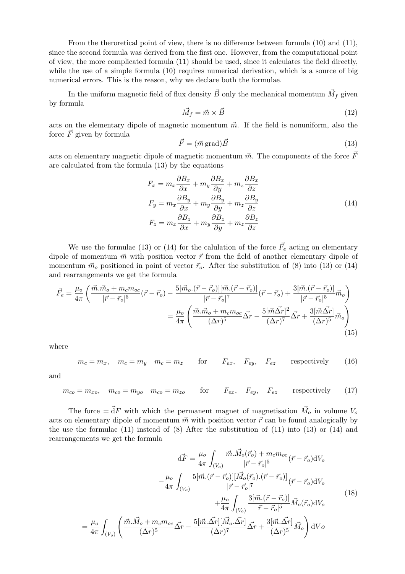From the theroretical point of view, there is no difference between formula (10) and (11), since the second formula was derived from the first one. However, from the computational point of view, the more complicated formula (11) should be used, since it calculates the field directly, while the use of a simple formula (10) requires numerical derivation, which is a source of big numerical errors. This is the reason, why we declare both the formulae.

In the uniform magnetic field of flux density  $\vec{B}$  only the mechanical momentum  $\vec{M}_{f}$  given by formula

$$
\vec{M}_f = \vec{m} \times \vec{B} \tag{12}
$$

acts on the elementary dipole of magnetic momentum  $\vec{m}$ . If the field is nonuniform, also the force  $\vec{F}$  given by formula

$$
\vec{F} = (\vec{m}\,\text{grad})\vec{B} \tag{13}
$$

acts on elementary magnetic dipole of magnetic momentum  $\vec{m}$ . The components of the force  $\vec{F}$ are calculated from the formula (13) by the equations

$$
F_x = m_x \frac{\partial B_x}{\partial x} + m_y \frac{\partial B_x}{\partial y} + m_z \frac{\partial B_x}{\partial z}
$$
  
\n
$$
F_y = m_x \frac{\partial B_y}{\partial x} + m_y \frac{\partial B_y}{\partial y} + m_z \frac{\partial B_y}{\partial z}
$$
  
\n
$$
F_z = m_x \frac{\partial B_z}{\partial x} + m_y \frac{\partial B_z}{\partial y} + m_z \frac{\partial B_z}{\partial z}
$$
\n(14)

We use the formulae (13) or (14) for the calulation of the force  $\vec{F}_e$  acting on elementary dipole of momentum  $\vec{m}$  with position vector  $\vec{r}$  from the field of another elementary dipole of momentum  $\vec{m}_o$  positioned in point of vector  $\vec{r}_o$ . After the substitution of (8) into (13) or (14) and rearrangements we get the formula

$$
\vec{F}_e = \frac{\mu_o}{4\pi} \left( \frac{\vec{m}.\vec{m}_o + m_c m_{oc}}{|\vec{r} - \vec{r}_o|^5} (\vec{r} - \vec{r}_o) - \frac{5[\vec{m}_o.(\vec{r} - \vec{r}_o)][\vec{m}.(\vec{r} - \vec{r}_o)]}{|\vec{r} - \vec{r}_o|^7} (\vec{r} - \vec{r}_o) + \frac{3[\vec{m}.(\vec{r} - \vec{r}_o)]}{|\vec{r} - \vec{r}_o|^5} \vec{m}_o \right)
$$
\n
$$
= \frac{\mu_o}{4\pi} \left( \frac{\vec{m}.\vec{m}_o + m_c m_{oc}}{(\Delta r)^5} \vec{\Delta r} - \frac{5[\vec{m} \vec{\Delta r}]^2}{(\Delta r)^7} \vec{\Delta r} + \frac{3[\vec{m} \vec{\Delta r}]}{(\Delta r)^5} \vec{m}_o \right)
$$
\n(15)

where

$$
m_c = m_x
$$
,  $m_c = m_y$   $m_c = m_z$  for  $F_{ex}$ ,  $F_{ey}$ ,  $F_{ez}$  respectively (16)

and

$$
m_{co} = m_{xo}
$$
,  $m_{co} = m_{yo}$   $m_{co} = m_{zo}$  for  $F_{ex}$ ,  $F_{ey}$ ,  $F_{ez}$  respectively (17)

The force  $= \vec{d}F$  with which the permanent magnet of magnetisation  $\vec{M}_o$  in volume  $V_o$ acts on elementary dipole of momentum  $\vec{m}$  with position vector  $\vec{r}$  can be found analogically by the use the formulae (11) instead of (8) After the substitution of (11) into (13) or (14) and rearrangements we get the formula

$$
\vec{dF} = \frac{\mu_o}{4\pi} \int_{(V_o)} \frac{\vec{m}.\vec{M}_o(\vec{r}_o) + m_c m_{oc}}{|\vec{r} - \vec{r}_o|^5} (\vec{r} - \vec{r}_o) dV_o
$$

$$
- \frac{\mu_o}{4\pi} \int_{(V_o)} \frac{5[\vec{m}.\left(\vec{r} - \vec{r}_o\right)][\vec{M}_o(\vec{r}_o).\left(\vec{r} - \vec{r}_o)\right]}{|\vec{r} - \vec{r}_o|^7} (\vec{r} - \vec{r}_o) dV_o
$$

$$
+ \frac{\mu_o}{4\pi} \int_{(V_o)} \frac{3[\vec{m}.\left(\vec{r} - \vec{r}_o\right)]}{|\vec{r} - \vec{r}_o|^5} \vec{M}_o(\vec{r}_o) dV_o
$$
(18)
$$
= \frac{\mu_o}{4\pi} \int_{(V_o)} \left(\frac{\vec{m}.\vec{M}_o + m_c m_{oc}}{(\Delta r)^5} \vec{\Delta r} - \frac{5[\vec{m}.\vec{\Delta r}][\vec{M}_o.\vec{\Delta r}]}{(\Delta r)^7} \vec{\Delta r} + \frac{3[\vec{m}.\vec{\Delta r}]}{(\Delta r)^5} \vec{M}_o\right) dV_o
$$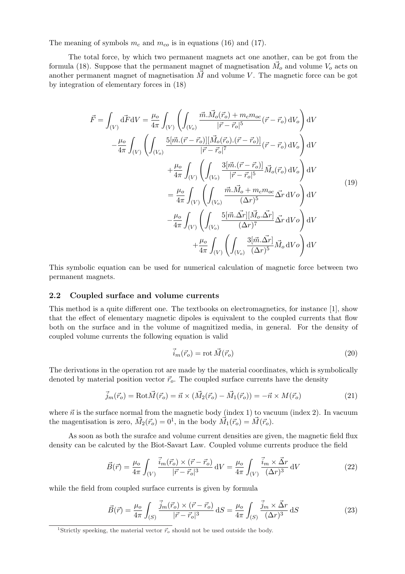The meaning of symbols  $m_c$  and  $m_{co}$  is in equations (16) and (17).

The total force, by which two permanent magnets act one another, can be got from the formula (18). Suppose that the permanent magnet of magnetisation  $\vec{M}_o$  and volume  $V_o$  acts on another permanent magnet of magnetisation  $\vec{M}$  and volume V. The magnetic force can be got by integration of elementary forces in (18)

$$
\vec{F} = \int_{(V)} d\vec{F}dV = \frac{\mu_o}{4\pi} \int_{(V)} \left( \int_{(V_o)} \frac{\vec{m}.\vec{M}_o(\vec{r}_o) + m_c m_{oc}}{|\vec{r} - \vec{r}_o|^5} (\vec{r} - \vec{r}_o) dV_o \right) dV
$$

$$
- \frac{\mu_o}{4\pi} \int_{(V)} \left( \int_{(V_o)} \frac{5[\vec{m}.(\vec{r} - \vec{r}_o)][\vec{M}_o(\vec{r}_o).(\vec{r} - \vec{r}_o)]}{|\vec{r} - \vec{r}_o|^7} (\vec{r} - \vec{r}_o) dV_o \right) dV
$$

$$
+ \frac{\mu_o}{4\pi} \int_{(V)} \left( \int_{(V_o)} \frac{3[\vec{m}.(\vec{r} - \vec{r}_o)]}{|\vec{r} - \vec{r}_o|^5} \vec{M}_o(\vec{r}_o) dV_o \right) dV
$$

$$
= \frac{\mu_o}{4\pi} \int_{(V)} \left( \int_{(V_o)} \frac{\vec{m}.\vec{M}_o + m_c m_{oc}}{(\Delta r)^5} \vec{\Delta r} dV_o \right) dV
$$

$$
- \frac{\mu_o}{4\pi} \int_{(V)} \left( \int_{(V_o)} \frac{5[\vec{m}.\vec{\Delta r}][\vec{M}_o.\vec{\Delta r}]}{(\Delta r)^7} \vec{\Delta r} dV_o \right) dV
$$

$$
+ \frac{\mu_o}{4\pi} \int_{(V)} \left( \int_{(V_o)} \frac{3[\vec{m}.\vec{\Delta r}]\vec{M}_o dV_o}{(\Delta r)^5} \vec{M}_o dV_o \right) dV
$$

This symbolic equation can be used for numerical calculation of magnetic force between two permanent magnets.

### 2.2 Coupled surface and volume currents

This method is a quite different one. The textbooks on electromagnetics, for instance [1], show that the effect of elementary magnetic dipoles is equivalent to the coupled currents that flow both on the surface and in the volume of magnitized media, in general. For the density of coupled volume currents the following equation is valid

$$
\vec{i}_m(\vec{r}_o) = \text{rot}\,\vec{M}(\vec{r}_o) \tag{20}
$$

The derivations in the operation rot are made by the material coordinates, which is symbolically denoted by material position vector  $\vec{r}_o$ . The coupled surface currents have the density

$$
\vec{j}_m(\vec{r}_o) = \text{Rot}\vec{M}(\vec{r}_o) = \vec{n} \times (\vec{M}_2(\vec{r}_o) - \vec{M}_1(\vec{r}_o)) = -\vec{n} \times M(\vec{r}_o)
$$
\n(21)

where  $\vec{n}$  is the surface normal from the magnetic body (index 1) to vacuum (index 2). In vacuum the magentisation is zero,  $\vec{M}_2(\vec{r}_o) = 0^1$ , in the body  $\vec{M}_1(\vec{r}_o) = \vec{M}(\vec{r}_o)$ .

As soon as both the surafce and volume current densities are given, the magnetic field flux density can be calcuted by the Biot-Savart Law. Coupled volume currents produce the field

$$
\vec{B}(\vec{r}) = \frac{\mu_o}{4\pi} \int_{(V)} \frac{\vec{i}_m(\vec{r}_o) \times (\vec{r} - \vec{r}_o)}{|\vec{r} - \vec{r}_o|^3} dV = \frac{\mu_o}{4\pi} \int_{(V)} \frac{\vec{i}_m \times \vec{\Delta}r}{(\Delta r)^3} dV
$$
(22)

while the field from coupled surface currents is given by formula

$$
\vec{B}(\vec{r}) = \frac{\mu_o}{4\pi} \int_{(S)} \frac{\vec{j}_m(\vec{r}_o) \times (\vec{r} - \vec{r}_o)}{|\vec{r} - \vec{r}_o|^3} dS = \frac{\mu_o}{4\pi} \int_{(S)} \frac{\vec{j}_m \times \vec{\Delta}r}{(\Delta r)^3} dS \tag{23}
$$

<sup>&</sup>lt;sup>1</sup>Strictly speeking, the material vector  $\vec{r}_o$  should not be used outside the body.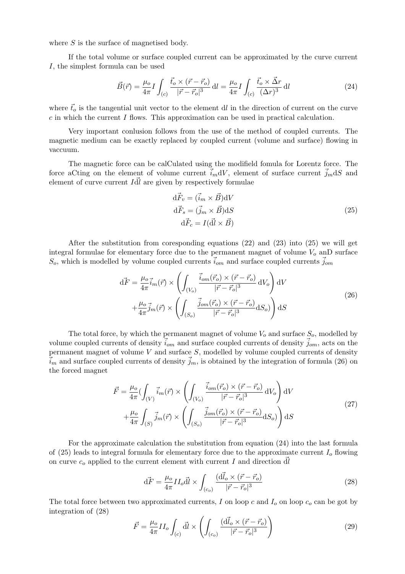where S is the surface of magnetised body.

If the total volume or surface coupled current can be approximated by the curve current I, the simplest formula can be used

$$
\vec{B}(\vec{r}) = \frac{\mu_o}{4\pi} I \int_{(c)} \frac{\vec{t}_o \times (\vec{r} - \vec{r}_o)}{|\vec{r} - \vec{r}_o|^3} \, \mathrm{d}l = \frac{\mu_o}{4\pi} I \int_{(c)} \frac{\vec{t}_o \times \vec{\Delta}r}{(\Delta r)^3} \, \mathrm{d}l \tag{24}
$$

where  $\vec{t}_o$  is the tangential unit vector to the element dl in the direction of current on the curve  $c$  in which the current  $I$  flows. This approximation can be used in practical calculation.

Very important conlusion follows from the use of the method of coupled currents. The magnetic medium can be exactly replaced by coupled current (volume and surface) flowing in vaccuum.

The magnetic force can be calCulated using the modifield fomula for Lorentz force. The force aCting on the element of volume current  $\vec{i}_m dV$ , element of surface current  $\vec{j}_m dS$  and element of curve current  $I\overline{dl}$  are given by respectively formulae

$$
\begin{aligned}\n\mathbf{d}\vec{F}_v &= (\vec{i}_m \times \vec{B}) \mathbf{d}V\\
\mathbf{d}\vec{F}_s &= (\vec{j}_m \times \vec{B}) \mathbf{d}S\\
\mathbf{d}\vec{F}_c &= I(\mathbf{d}\vec{l} \times \vec{B})\n\end{aligned} \tag{25}
$$

After the substitution from coresponding equations  $(22)$  and  $(23)$  into  $(25)$  we will get integral formulae for elementary force due to the permanent magnet of volume  $V<sub>o</sub>$  and surface  $S_o$ , which is modelled by volume coupled currents  $\vec{i}_{om}$  and surface coupled currents  $\vec{j}_{om}$ 

$$
d\vec{F} = \frac{\mu_o}{4\pi} \vec{i}_m(\vec{r}) \times \left( \int_{(V_o)} \frac{\vec{i}_{om}(\vec{r}_o) \times (\vec{r} - \vec{r}_o)}{|\vec{r} - \vec{r}_o|^3} dV_o \right) dV + \frac{\mu_o}{4\pi} \vec{j}_m(\vec{r}) \times \left( \int_{(S_o)} \frac{\vec{j}_{om}(\vec{r}_o) \times (\vec{r} - \vec{r}_o)}{|\vec{r} - \vec{r}_o|^3} dS_o \right) dS
$$
(26)

The total force, by which the permanent magnet of volume  $V_o$  and surface  $S_o$ , modelled by volume coupled currents of density  $\vec{i}_{om}$  and surface coupled currents of density  $\vec{j}_{om}$ , acts on the permanent magnet of volume  $V$  and surface  $S$ , modelled by volume coupled currents of density  $\vec{i}_m$  and surface coupled currents of density  $\vec{j}_m$ , is obtained by the integration of formula (26) on the forced magnet

$$
\vec{F} = \frac{\mu_o}{4\pi} \left( \int_{(V)} \vec{i}_m(\vec{r}) \times \left( \int_{(V_o)} \frac{\vec{i}_{om}(\vec{r}_o) \times (\vec{r} - \vec{r}_o)}{|\vec{r} - \vec{r}_o|^3} dV_o \right) dV + \frac{\mu_o}{4\pi} \int_{(S)} \vec{j}_m(\vec{r}) \times \left( \int_{(S_o)} \frac{\vec{j}_{om}(\vec{r}_o) \times (\vec{r} - \vec{r}_o)}{|\vec{r} - \vec{r}_o|^3} dS_o \right) dS \tag{27}
$$

For the approximate calculation the substitution from equation (24) into the last formula of (25) leads to integral formula for elementary force due to the approximate current  $I_0$  flowing on curve  $c<sub>o</sub>$  applied to the current element with current I and direction d $\hat{l}$ 

$$
\vec{dF} = \frac{\mu_o}{4\pi} II_o \vec{dl} \times \int_{(c_o)} \frac{(\vec{dl_o} \times (\vec{r} - \vec{r}_o))}{|\vec{r} - \vec{r}_o|^3}
$$
(28)

The total force between two approximated currents, I on loop  $c$  and  $I_o$  on loop  $c_o$  can be got by integration of (28)  $\overline{A}$ !<br>}

$$
\vec{F} = \frac{\mu_o}{4\pi} II_o \int_{(c)} d\vec{l} \times \left( \int_{(c_o)} \frac{(d\vec{l}_o \times (\vec{r} - \vec{r}_o))}{|\vec{r} - \vec{r}_o|^3} \right) \tag{29}
$$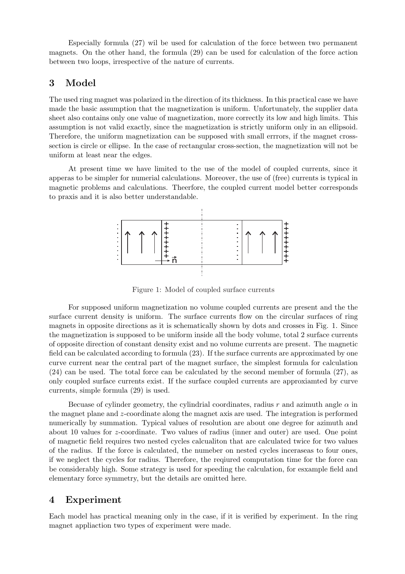Especially formula (27) wil be used for calculation of the force between two permanent magnets. On the other hand, the formula (29) can be used for calculation of the force action between two loops, irrespective of the nature of currents.

# 3 Model

The used ring magnet was polarized in the direction of its thickness. In this practical case we have made the basic assumption that the magnetization is uniform. Unfortunately, the supplier data sheet also contains only one value of magnetization, more correctly its low and high limits. This assumption is not valid exactly, since the magnetization is strictly uniform only in an ellipsoid. Therefore, the uniform magnetization can be supposed with small errrors, if the magnet crosssection is circle or ellipse. In the case of rectangular cross-section, the magnetization will not be uniform at least near the edges.

At present time we have limited to the use of the model of coupled currents, since it apperas to be simpler for numerial calculations. Moreover, the use of (free) currents is typical in magnetic problems and calculations. Theerfore, the coupled current model better corresponds to praxis and it is also better understandable.



Figure 1: Model of coupled surface currents

For supposed uniform magnetization no volume coupled currents are present and the the surface current density is uniform. The surface currents flow on the circular surfaces of ring magnets in opposite directions as it is schematically shown by dots and crosses in Fig. 1. Since the magnetization is supposed to be uniform inside all the body volume, total 2 surface currents of opposite direction of constant density exist and no volume currents are present. The magnetic field can be calculated according to formula (23). If the surface currents are approximated by one curve current near the central part of the magnet surface, the simplest formula for calculation (24) can be used. The total force can be calculated by the second member of formula (27), as only coupled surface currents exist. If the surface coupled currents are approxiamted by curve currents, simple formula (29) is used.

Becuase of cylinder geometry, the cylindrial coordinates, radius r and azimuth angle  $\alpha$  in the magnet plane and z-coordinate along the magnet axis are used. The integration is performed numerically by summation. Typical values of resolution are about one degree for azimuth and about 10 values for z-coordinate. Two values of radius (inner and outer) are used. One point of magnetic field requires two nested cycles calcualiton that are calculated twice for two values of the radius. If the force is calculated, the numeber on nested cycles inceraseas to four ones, if we neglect the cycles for radius. Therefore, the reqiured computation time for the force can be considerably high. Some strategy is used for speeding the calculation, for esxample field and elementary force symmetry, but the details are omitted here.

# 4 Experiment

Each model has practical meaning only in the case, if it is verified by experiment. In the ring magnet appliaction two types of experiment were made.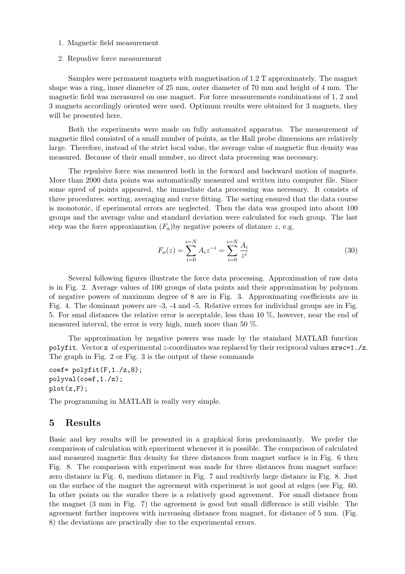- 1. Magnetic field measurement
- 2. Repuslive force measurement

Samples were permanent magnets with magnetisation of 1.2 T approximately. The magnet shape was a ring, inner diameter of 25 mm, outer diameter of 70 mm and height of 4 mm. The magnetic field was merasured on one magnet. For force measurements combinations of 1, 2 and 3 magnets accordingly oriented were used. Optimum results were obtained for 3 magnets, they will be presented here.

Both the experiments were made on fully automated apparatus. The measurement of magnetic filed consisted of a small number of points, as the Hall probe dimensions are relatively large. Therefore, instead of the strict local value, the average value of magnetic flux density was measured. Because of their small number, no direct data processing was necessary.

The repulsive force was measured both in the forward and backward motion of magnets. More than 2000 data points was automatically measured and written into computer file. Since some spred of points appeared, the immediate data processing was necessary. It consists of three procedures: sorting, averaging and curve fitting. The sorting ensured that the data course is monotonic, if eperimental errors are neglected. Then the data was grouped into about 100 groups and the average value and standard deviation were calculated for each group. The last step was the force approxiamtion  $(F_a)$  by negative powers of distance z, e.g.

$$
F_a(z) = \sum_{i=0}^{i=N} A_i z^{-i} = \sum_{i=0}^{i=N} \frac{A_i}{z^i}
$$
 (30)

Several following figures illustrate the force data processing. Approximation of raw data is in Fig. 2. Average values of 100 groups of data points and their approximation by polynom of negative powers of maximum degree of 8 are in Fig. 3. Approximating coefficients are in Fig. 4. The dominant powers are -3, -4 and -5. Relative errors for individual groups are in Fig. 5. For smal distances the relative error is acceptable, less than 10 %, however, near the end of measured interval, the error is very high, much more than 50 %.

The approximation by negative powers was made by the standard MATLAB function polyfit. Vector z of experimental z-coordinates was replaced by their reciprocal values  $zrec=1$ ./z. The graph in Fig. 2 or Fig. 3 is the output of these commands

```
\text{coef} = \text{polyfit}(F, 1./z, 8);polyval(coef,1./z);
plot(z, F);
```
The programming in MATLAB is really very simple.

## 5 Results

Basic and key results will be presented in a graphical form predominantly. We prefer the comparison of calculation with epxeriment whenever it is possible. The comparison of calculated and measured magnetic flux density for three distances from magnet surface is in Fig. 6 thru Fig. 8. The comparison with experiment was made for three distances from magnet surface: zero distance in Fig. 6, medium distance in Fig. 7 and realtively large distance in Fig. 8. Just on the surface of the magnet the agreement with experiment is not good at edges (see Fig. 60. In other points on the surafce there is a relatively good agreement. For small distance from the magnet (3 mm in Fig. 7) the agreement is good but small difference is still visible. The agreement further improves with increasing distance from magnet, for distance of 5 mm. (Fig. 8) the deviations are practically due to the experimental errors.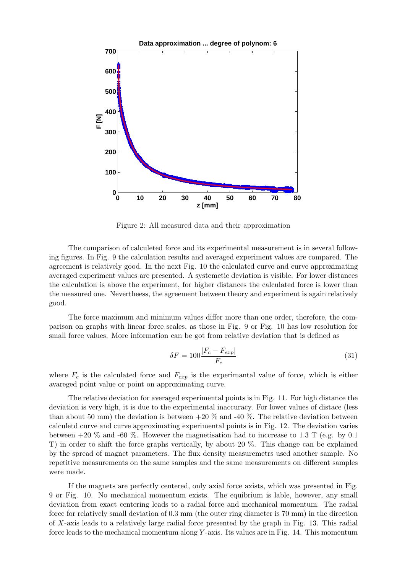

Figure 2: All measured data and their approximation

The comparison of calculeted force and its experimental measurement is in several following figures. In Fig. 9 the calculation results and averaged experiment values are compared. The agreement is relatively good. In the next Fig. 10 the calculated curve and curve approximating averaged experiment values are presented. A systemetic deviation is visible. For lower distances the calculation is above the experiment, for higher distances the calculated force is lower than the measured one. Nevertheess, the agreement between theory and experiment is again relatively good.

The force maximum and minimum values differ more than one order, therefore, the comparison on graphs with linear force scales, as those in Fig. 9 or Fig. 10 has low resolution for small force values. More information can be got from relative deviation that is defined as

$$
\delta F = 100 \frac{|F_c - F_{exp}|}{F_c} \tag{31}
$$

where  $F_c$  is the calculated force and  $F_{exp}$  is the experimantal value of force, which is either avareged point value or point on approximating curve.

The relative deviation for averaged experimental points is in Fig. 11. For high distance the deviation is very high, it is due to the experimental inaccuracy. For lower values of distace (less than about 50 mm) the deviation is between  $+20\%$  and -40 %. The relative deviation between calculetd curve and curve approximating experimental points is in Fig. 12. The deviation varies between  $+20\%$  and  $-60\%$ . However the magnetisation had to inccrease to 1.3 T (e.g. by 0.1) T) in order to shift the force graphs vertically, by about 20 %. This change can be explained by the spread of magnet parameters. The flux density measuremetrs used another sample. No repetitive measurements on the same samples and the same measurements on different samples were made.

If the magnets are perfectly centered, only axial force axists, which was presented in Fig. 9 or Fig. 10. No mechanical momentum exists. The equibrium is lable, however, any small deviation from exact centering leads to a radial force and mechanical momentum. The radial force for relatively small deviation of 0.3 mm (the outer ring diameter is 70 mm) in the direction of X-axis leads to a relatively large radial force presented by the graph in Fig. 13. This radial force leads to the mechanical momentum along Y -axis. Its values are in Fig. 14. This momentum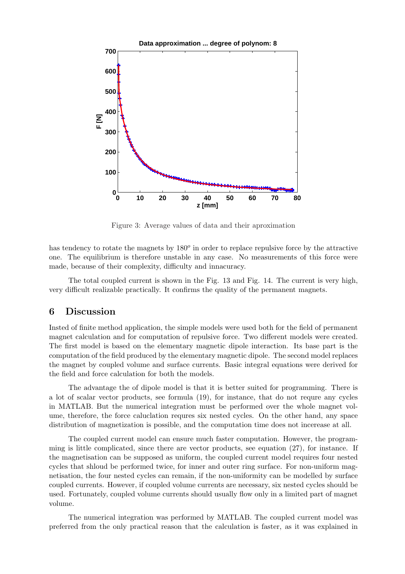

Figure 3: Average values of data and their aproximation

has tendency to rotate the magnets by  $180^{\circ}$  in order to replace repulsive force by the attractive one. The equilibrium is therefore unstable in any case. No measurements of this force were made, because of their complexity, difficulty and innacuracy.

The total coupled current is shown in the Fig. 13 and Fig. 14. The current is very high, very difficult realizable practically. It confirms the quality of the permanent magnets.

## 6 Discussion

Insted of finite method application, the simple models were used both for the field of permanent magnet calculation and for computation of repulsive force. Two different models were created. The first model is based on the elementary magnetic dipole interaction. Its base part is the computation of the field produced by the elementary magnetic dipole. The second model replaces the magnet by coupled volume and surface currents. Basic integral equations were derived for the field and force calculation for both the models.

The advantage the of dipole model is that it is better suited for programming. There is a lot of scalar vector products, see formula (19), for instance, that do not requre any cycles in MATLAB. But the numerical integration must be performed over the whole magnet volume, therefore, the force caluclation requres six nested cycles. On the other hand, any space distribution of magnetization is possible, and the computation time does not incerease at all.

The coupled current model can ensure much faster computation. However, the programming is little complicated, since there are vector products, see equation (27), for instance. If the magnetisation can be supposed as uniform, the coupled current model requires four nested cycles that shloud be performed twice, for inner and outer ring surface. For non-uniform magnetisation, the four nested cycles can remain, if the non-uniformity can be modelled by surface coupled currents. However, if coupled volume currents are necessary, six nested cycles should be used. Fortunately, coupled volume currents should usually flow only in a limited part of magnet volume.

The numerical integration was performed by MATLAB. The coupled current model was preferred from the only practical reason that the calculation is faster, as it was explained in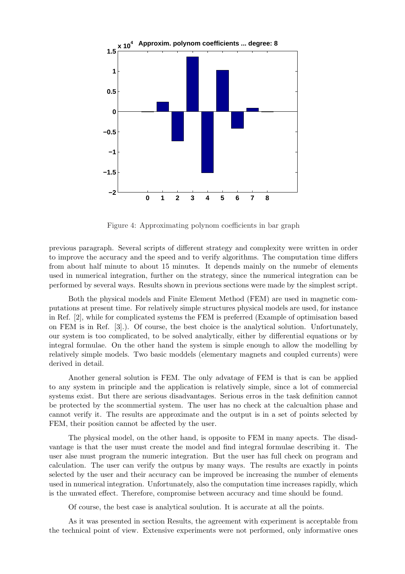

Figure 4: Approximating polynom coefficients in bar graph

previous paragraph. Several scripts of different strategy and complexity were written in order to improve the accuracy and the speed and to verify algorithms. The computation time differs from about half minute to about 15 minutes. It depends mainly on the numebr of elements used in numerical integration, further on the strategy, since the numerical integration can be performed by several ways. Results shown in previous sections were made by the simplest script.

Both the physical models and Finite Element Method (FEM) are used in magnetic computations at present time. For relatively simple structures physical models are used, for instance in Ref. [2], while for complicated systems the FEM is preferred (Example of optimisation based on FEM is in Ref. [3].). Of course, the best choice is the analytical solution. Unfortunately, our system is too complicated, to be solved analytically, either by differential equations or by integral formulae. On the other hand the system is simple enough to allow the modelling by relatively simple models. Two basic moddels (elementary magnets and coupled currents) were derived in detail.

Another general solution is FEM. The only advatage of FEM is that is can be applied to any system in principle and the application is relatively simple, since a lot of commercial systems exist. But there are serious disadvantages. Serious erros in the task definition cannot be protected by the scommertial system. The user has no check at the calcualtion phase and cannot verify it. The results are approximate and the output is in a set of points selected by FEM, their position cannot be affected by the user.

The physical model, on the other hand, is opposite to FEM in many apects. The disadvantage is that the user must create the model and find integral formulae describing it. The user alse must program the numeric integration. But the user has full check on program and calculation. The user can verify the outpus by many ways. The results are exactly in points selected by the user and their accuracy can be improved be increasing the number of elements used in numerical integration. Unfortunately, also the computation time increases rapidly, which is the unwated effect. Therefore, compromise between accuracy and time should be found.

Of course, the best case is analytical soulution. It is accurate at all the points.

As it was presented in section Results, the agreement with experiment is acceptable from the technical point of view. Extensive experiments were not performed, only informative ones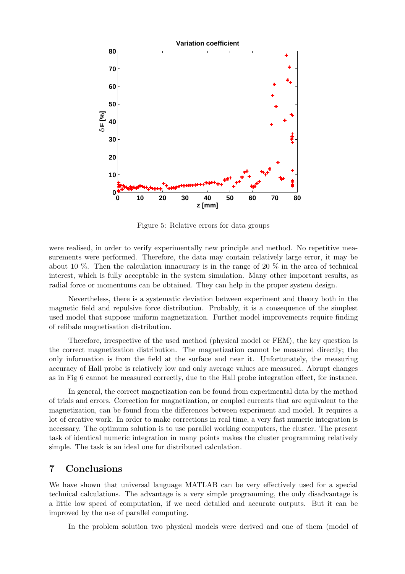

Figure 5: Relative errors for data groups

were realised, in order to verify experimentally new principle and method. No repetitive measurements were performed. Therefore, the data may contain relatively large error, it may be about 10 %. Then the calculation innacuracy is in the range of 20 % in the area of technical interest, which is fully acceptable in the system simulation. Many other important results, as radial force or momentums can be obtained. They can help in the proper system design.

Nevertheless, there is a systematic deviation between experiment and theory both in the magnetic field and repulsive force distribution. Probably, it is a consequence of the simplest used model that suppose uniform magnetization. Further model improvements require finding of relibale magnetisation distribution.

Therefore, irrespective of the used method (physical model or FEM), the key question is the correct magnetization distribution. The magnetization cannot be measured directly; the only information is from the field at the surface and near it. Unfortunately, the measuring accuracy of Hall probe is relatively low and only average values are measured. Abrupt changes as in Fig 6 cannot be measured correctly, due to the Hall probe integration effect, for instance.

In general, the correct magnetization can be found from experimental data by the method of trials and errors. Correction for magnetization, or coupled currents that are equivalent to the magnetization, can be found from the differences between experiment and model. It requires a lot of creative work. In order to make corrections in real time, a very fast numeric integration is necessary. The optimum solution is to use parallel working computers, the cluster. The present task of identical numeric integration in many points makes the cluster programming relatively simple. The task is an ideal one for distributed calculation.

## 7 Conclusions

We have shown that universal language MATLAB can be very effectively used for a special technical calculations. The advantage is a very simple programming, the only disadvantage is a little low speed of computation, if we need detailed and accurate outputs. But it can be improved by the use of parallel computing.

In the problem solution two physical models were derived and one of them (model of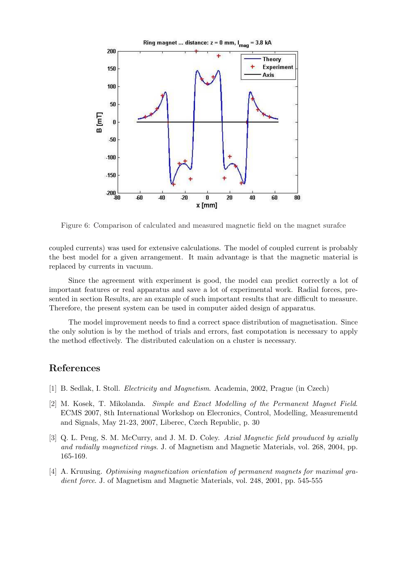

Figure 6: Comparison of calculated and measured magnetic field on the magnet surafce

coupled currents) was used for extensive calculations. The model of coupled current is probably the best model for a given arrangement. It main advantage is that the magnetic material is replaced by currents in vacuum.

Since the agreement with experiment is good, the model can predict correctly a lot of important features or real apparatus and save a lot of experimental work. Radial forces, presented in section Results, are an example of such important results that are difficult to measure. Therefore, the present system can be used in computer aided design of apparatus.

The model improvement needs to find a correct space distribution of magnetisation. Since the only solution is by the method of trials and errors, fast compotation is necessary to apply the method effectively. The distributed calculation on a cluster is necessary.

## References

- [1] B. Sedlak, I. Stoll. Electricity and Magnetism. Academia, 2002, Prague (in Czech)
- [2] M. Kosek, T. Mikolanda. Simple and Exact Modelling of the Permanent Magnet Field. ECMS 2007, 8th International Workshop on Elecronics, Control, Modelling, Measurementd and Signals, May 21-23, 2007, Liberec, Czech Republic, p. 30
- [3] Q. L. Peng, S. M. McCurry, and J. M. D. Coley. Axial Magnetic field prouduced by axially and radially magnetized rings. J. of Magnetism and Magnetic Materials, vol. 268, 2004, pp. 165-169.
- [4] A. Kruusing. Optimising magnetization orientation of permanent magnets for maximal gradient force. J. of Magnetism and Magnetic Materials, vol. 248, 2001, pp. 545-555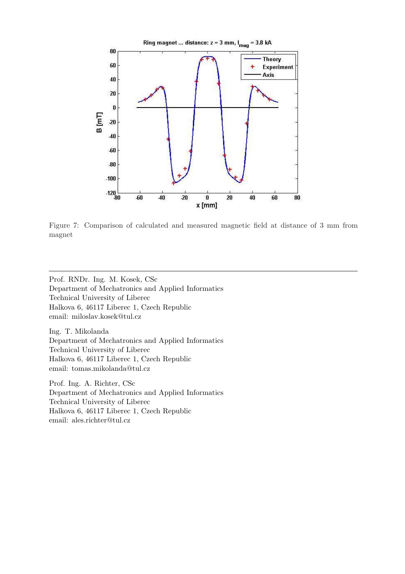

Figure 7: Comparison of calculated and measured magnetic field at distance of 3 mm from magnet

Prof. RNDr. Ing. M. Kosek, CSc Department of Mechatronics and Applied Informatics Technical University of Liberec Halkova 6, 46117 Liberec 1, Czech Republic email: miloslav.kosek@tul.cz

Ing. T. Mikolanda Department of Mechatronics and Applied Informatics Technical University of Liberec Halkova 6, 46117 Liberec 1, Czech Republic email: tomas.mikolanda@tul.cz

Prof. Ing. A. Richter, CSc Department of Mechatronics and Applied Informatics Technical University of Liberec Halkova 6, 46117 Liberec 1, Czech Republic email: ales.richter@tul.cz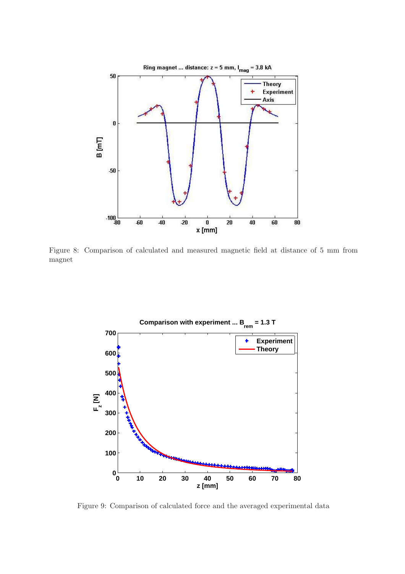

Figure 8: Comparison of calculated and measured magnetic field at distance of 5 mm from magnet



Figure 9: Comparison of calculated force and the averaged experimental data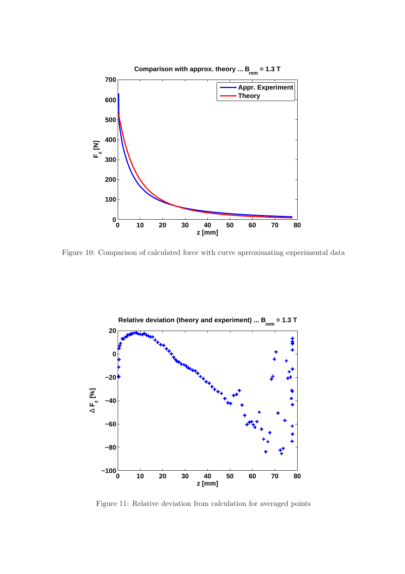

Figure 10: Comparison of calculated force with curve aprroximating experimental data



Figure 11: Relative deviation from calculation for averaged points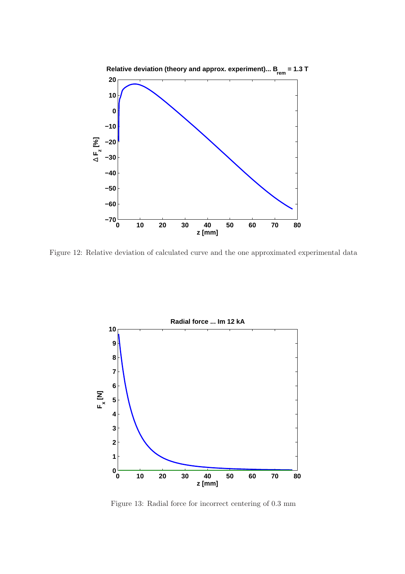

Figure 12: Relative deviation of calculated curve and the one approximated experimental data



Figure 13: Radial force for incorrect centering of 0.3 mm